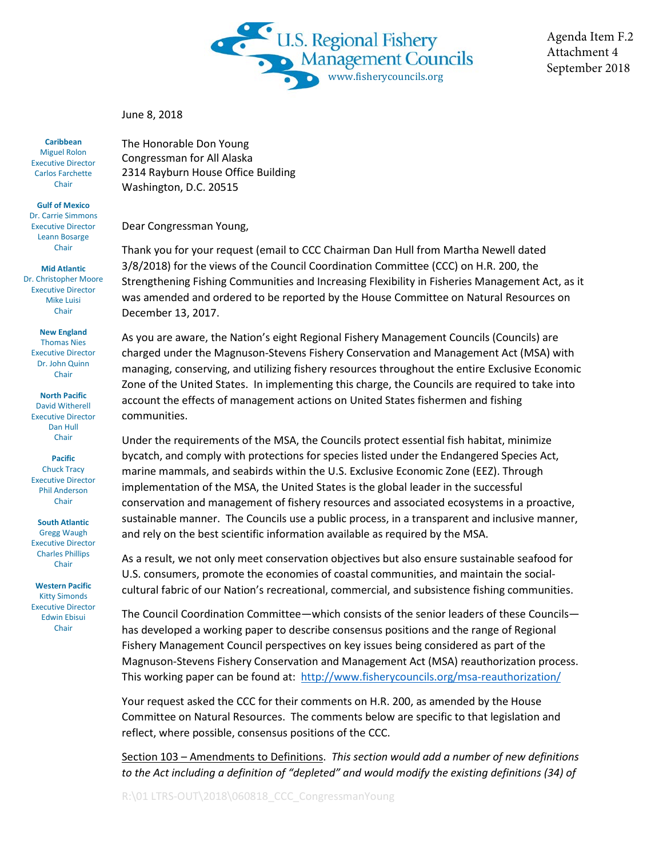

Agenda Item F.2 Attachment 4 September 2018

June 8, 2018

The Honorable Don Young Congressman for All Alaska 2314 Rayburn House Office Building Washington, D.C. 20515

Dear Congressman Young,

Thank you for your request (email to CCC Chairman Dan Hull from Martha Newell dated 3/8/2018) for the views of the Council Coordination Committee (CCC) on H.R. 200, the Strengthening Fishing Communities and Increasing Flexibility in Fisheries Management Act, as it was amended and ordered to be reported by the House Committee on Natural Resources on December 13, 2017.

As you are aware, the Nation's eight Regional Fishery Management Councils (Councils) are charged under the Magnuson-Stevens Fishery Conservation and Management Act (MSA) with managing, conserving, and utilizing fishery resources throughout the entire Exclusive Economic Zone of the United States. In implementing this charge, the Councils are required to take into account the effects of management actions on United States fishermen and fishing communities.

Under the requirements of the MSA, the Councils protect essential fish habitat, minimize bycatch, and comply with protections for species listed under the Endangered Species Act, marine mammals, and seabirds within the U.S. Exclusive Economic Zone (EEZ). Through implementation of the MSA, the United States is the global leader in the successful conservation and management of fishery resources and associated ecosystems in a proactive, sustainable manner. The Councils use a public process, in a transparent and inclusive manner, and rely on the best scientific information available as required by the MSA.

As a result, we not only meet conservation objectives but also ensure sustainable seafood for U.S. consumers, promote the economies of coastal communities, and maintain the socialcultural fabric of our Nation's recreational, commercial, and subsistence fishing communities.

The Council Coordination Committee—which consists of the senior leaders of these Councils has developed a working paper to describe consensus positions and the range of Regional Fishery Management Council perspectives on key issues being considered as part of the Magnuson-Stevens Fishery Conservation and Management Act (MSA) reauthorization process. This working paper can be found at: <http://www.fisherycouncils.org/msa-reauthorization/>

Your request asked the CCC for their comments on H.R. 200, as amended by the House Committee on Natural Resources. The comments below are specific to that legislation and reflect, where possible, consensus positions of the CCC.

Section 103 – Amendments to Definitions. *This section would add a number of new definitions to the Act including a definition of "depleted" and would modify the existing definitions (34) of* 

R:\01 LTRS-OUT\2018\060818\_CCC\_CongressmanYoung

**Caribbean** Miguel Rolon Executive Director Carlos Farchette **Chair** 

**Gulf of Mexico** Dr. Carrie Simmons Executive Director Leann Bosarge Chair

**Mid Atlantic** Dr. Christopher Moore Executive Director Mike Luisi Chair

**New England** Thomas Nies Executive Director Dr. John Quinn Chair

**North Pacific** David Witherell Executive Director Dan Hull Chair

**Pacific** Chuck Tracy Executive Director Phil Anderson Chair

**South Atlantic** Gregg Waugh Executive Director Charles Phillips Chair

**Western Pacific** Kitty Simonds Executive Director Edwin Ebisui Chair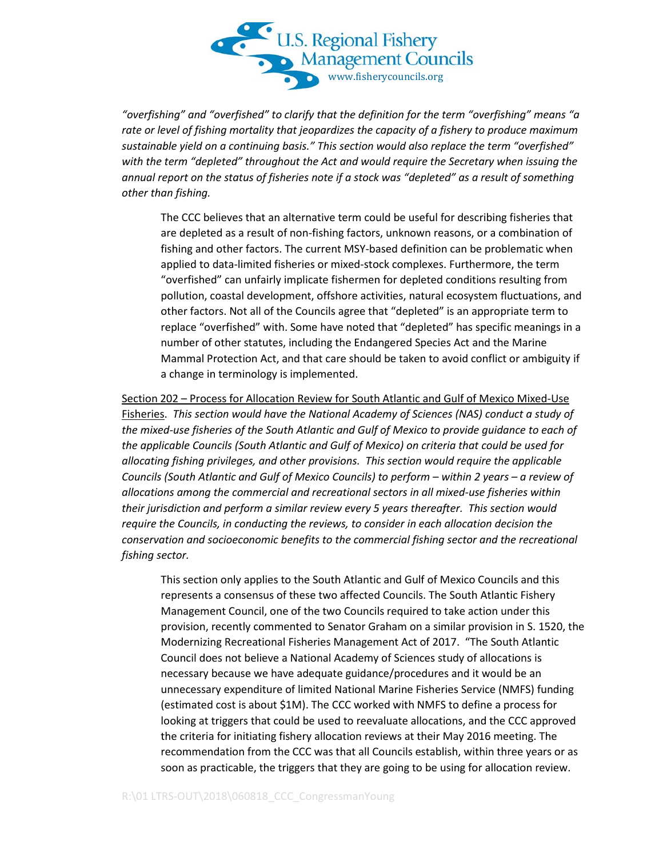

*"overfishing" and "overfished" to clarify that the definition for the term "overfishing" means "a rate or level of fishing mortality that jeopardizes the capacity of a fishery to produce maximum sustainable yield on a continuing basis." This section would also replace the term "overfished" with the term "depleted" throughout the Act and would require the Secretary when issuing the annual report on the status of fisheries note if a stock was "depleted" as a result of something other than fishing.*

The CCC believes that an alternative term could be useful for describing fisheries that are depleted as a result of non-fishing factors, unknown reasons, or a combination of fishing and other factors. The current MSY-based definition can be problematic when applied to data-limited fisheries or mixed-stock complexes. Furthermore, the term "overfished" can unfairly implicate fishermen for depleted conditions resulting from pollution, coastal development, offshore activities, natural ecosystem fluctuations, and other factors. Not all of the Councils agree that "depleted" is an appropriate term to replace "overfished" with. Some have noted that "depleted" has specific meanings in a number of other statutes, including the Endangered Species Act and the Marine Mammal Protection Act, and that care should be taken to avoid conflict or ambiguity if a change in terminology is implemented.

Section 202 – Process for Allocation Review for South Atlantic and Gulf of Mexico Mixed-Use Fisheries. *This section would have the National Academy of Sciences (NAS) conduct a study of the mixed-use fisheries of the South Atlantic and Gulf of Mexico to provide guidance to each of the applicable Councils (South Atlantic and Gulf of Mexico) on criteria that could be used for allocating fishing privileges, and other provisions. This section would require the applicable Councils (South Atlantic and Gulf of Mexico Councils) to perform – within 2 years – a review of allocations among the commercial and recreational sectors in all mixed-use fisheries within their jurisdiction and perform a similar review every 5 years thereafter. This section would require the Councils, in conducting the reviews, to consider in each allocation decision the conservation and socioeconomic benefits to the commercial fishing sector and the recreational fishing sector.*

This section only applies to the South Atlantic and Gulf of Mexico Councils and this represents a consensus of these two affected Councils. The South Atlantic Fishery Management Council, one of the two Councils required to take action under this provision, recently commented to Senator Graham on a similar provision in S. 1520, the Modernizing Recreational Fisheries Management Act of 2017. "The South Atlantic Council does not believe a National Academy of Sciences study of allocations is necessary because we have adequate guidance/procedures and it would be an unnecessary expenditure of limited National Marine Fisheries Service (NMFS) funding (estimated cost is about \$1M). The CCC worked with NMFS to define a process for looking at triggers that could be used to reevaluate allocations, and the CCC approved the criteria for initiating fishery allocation reviews at their May 2016 meeting. The recommendation from the CCC was that all Councils establish, within three years or as soon as practicable, the triggers that they are going to be using for allocation review.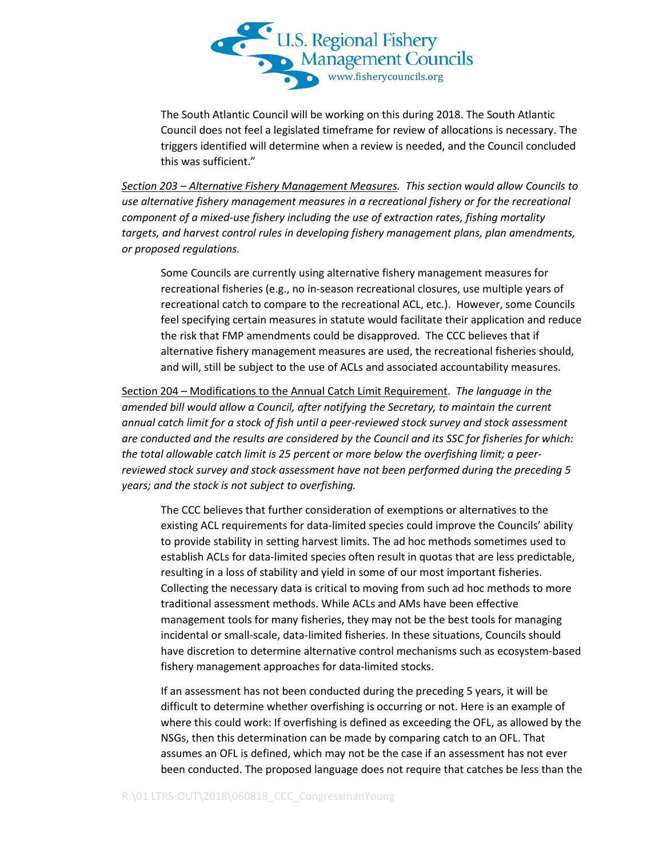

The South Atlantic Council will be working on this during 2018. The South Atlantic Council does not feel a legislated timeframe for review of allocations is necessary. The triggers identified will determine when a review is needed, and the Council concluded this was sufficient."

*Section 203 – Alternative Fishery Management Measures. This section would allow Councils to use alternative fishery management measures in a recreational fishery or for the recreational component of a mixed-use fishery including the use of extraction rates, fishing mortality targets, and harvest control rules in developing fishery management plans, plan amendments, or proposed regulations.*

Some Councils are currently using alternative fishery management measures for recreational fisheries (e.g., no in-season recreational closures, use multiple years of recreational catch to compare to the recreational ACL, etc.). However, some Councils feel specifying certain measures in statute would facilitate their application and reduce the risk that FMP amendments could be disapproved. The CCC believes that if alternative fishery management measures are used, the recreational fisheries should, and will, still be subject to the use of ACLs and associated accountability measures.

Section 204 – Modifications to the Annual Catch Limit Requirement. *The language in the amended bill would allow a Council, after notifying the Secretary, to maintain the current annual catch limit for a stock of fish until a peer-reviewed stock survey and stock assessment are conducted and the results are considered by the Council and its SSC for fisheries for which: the total allowable catch limit is 25 percent or more below the overfishing limit; a peerreviewed stock survey and stock assessment have not been performed during the preceding 5 years; and the stock is not subject to overfishing.* 

The CCC believes that further consideration of exemptions or alternatives to the existing ACL requirements for data-limited species could improve the Councils' ability to provide stability in setting harvest limits. The ad hoc methods sometimes used to establish ACLs for data-limited species often result in quotas that are less predictable, resulting in a loss of stability and yield in some of our most important fisheries. Collecting the necessary data is critical to moving from such ad hoc methods to more traditional assessment methods. While ACLs and AMs have been effective management tools for many fisheries, they may not be the best tools for managing incidental or small-scale, data-limited fisheries. In these situations, Councils should have discretion to determine alternative control mechanisms such as ecosystem-based fishery management approaches for data-limited stocks.

If an assessment has not been conducted during the preceding 5 years, it will be difficult to determine whether overfishing is occurring or not. Here is an example of where this could work: If overfishing is defined as exceeding the OFL, as allowed by the NSGs, then this determination can be made by comparing catch to an OFL. That assumes an OFL is defined, which may not be the case if an assessment has not ever been conducted. The proposed language does not require that catches be less than the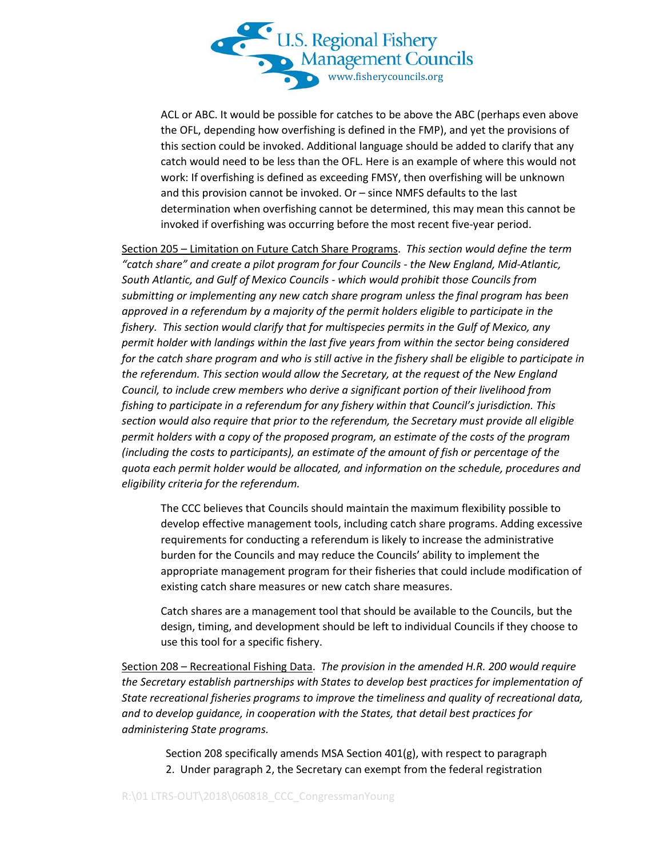

ACL or ABC. It would be possible for catches to be above the ABC (perhaps even above the OFL, depending how overfishing is defined in the FMP), and yet the provisions of this section could be invoked. Additional language should be added to clarify that any catch would need to be less than the OFL. Here is an example of where this would not work: If overfishing is defined as exceeding FMSY, then overfishing will be unknown and this provision cannot be invoked. Or – since NMFS defaults to the last determination when overfishing cannot be determined, this may mean this cannot be invoked if overfishing was occurring before the most recent five-year period.

Section 205 – Limitation on Future Catch Share Programs. *This section would define the term "catch share" and create a pilot program for four Councils - the New England, Mid-Atlantic, South Atlantic, and Gulf of Mexico Councils - which would prohibit those Councils from submitting or implementing any new catch share program unless the final program has been approved in a referendum by a majority of the permit holders eligible to participate in the fishery. This section would clarify that for multispecies permits in the Gulf of Mexico, any permit holder with landings within the last five years from within the sector being considered for the catch share program and who is still active in the fishery shall be eligible to participate in the referendum. This section would allow the Secretary, at the request of the New England Council, to include crew members who derive a significant portion of their livelihood from fishing to participate in a referendum for any fishery within that Council's jurisdiction. This section would also require that prior to the referendum, the Secretary must provide all eligible permit holders with a copy of the proposed program, an estimate of the costs of the program (including the costs to participants), an estimate of the amount of fish or percentage of the quota each permit holder would be allocated, and information on the schedule, procedures and eligibility criteria for the referendum.* 

The CCC believes that Councils should maintain the maximum flexibility possible to develop effective management tools, including catch share programs. Adding excessive requirements for conducting a referendum is likely to increase the administrative burden for the Councils and may reduce the Councils' ability to implement the appropriate management program for their fisheries that could include modification of existing catch share measures or new catch share measures.

Catch shares are a management tool that should be available to the Councils, but the design, timing, and development should be left to individual Councils if they choose to use this tool for a specific fishery.

Section 208 – Recreational Fishing Data. *The provision in the amended H.R. 200 would require the Secretary establish partnerships with States to develop best practices for implementation of State recreational fisheries programs to improve the timeliness and quality of recreational data, and to develop guidance, in cooperation with the States, that detail best practices for administering State programs.*

Section 208 specifically amends MSA Section 401(g), with respect to paragraph 2. Under paragraph 2, the Secretary can exempt from the federal registration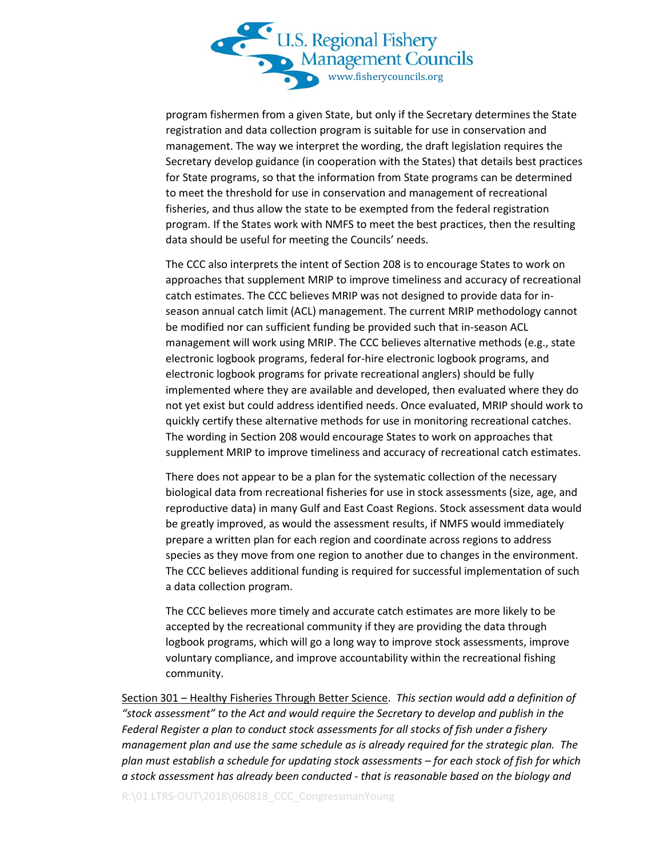

program fishermen from a given State, but only if the Secretary determines the State registration and data collection program is suitable for use in conservation and management. The way we interpret the wording, the draft legislation requires the Secretary develop guidance (in cooperation with the States) that details best practices for State programs, so that the information from State programs can be determined to meet the threshold for use in conservation and management of recreational fisheries, and thus allow the state to be exempted from the federal registration program. If the States work with NMFS to meet the best practices, then the resulting data should be useful for meeting the Councils' needs.

The CCC also interprets the intent of Section 208 is to encourage States to work on approaches that supplement MRIP to improve timeliness and accuracy of recreational catch estimates. The CCC believes MRIP was not designed to provide data for inseason annual catch limit (ACL) management. The current MRIP methodology cannot be modified nor can sufficient funding be provided such that in-season ACL management will work using MRIP. The CCC believes alternative methods (e.g., state electronic logbook programs, federal for-hire electronic logbook programs, and electronic logbook programs for private recreational anglers) should be fully implemented where they are available and developed, then evaluated where they do not yet exist but could address identified needs. Once evaluated, MRIP should work to quickly certify these alternative methods for use in monitoring recreational catches. The wording in Section 208 would encourage States to work on approaches that supplement MRIP to improve timeliness and accuracy of recreational catch estimates.

There does not appear to be a plan for the systematic collection of the necessary biological data from recreational fisheries for use in stock assessments (size, age, and reproductive data) in many Gulf and East Coast Regions. Stock assessment data would be greatly improved, as would the assessment results, if NMFS would immediately prepare a written plan for each region and coordinate across regions to address species as they move from one region to another due to changes in the environment. The CCC believes additional funding is required for successful implementation of such a data collection program.

The CCC believes more timely and accurate catch estimates are more likely to be accepted by the recreational community if they are providing the data through logbook programs, which will go a long way to improve stock assessments, improve voluntary compliance, and improve accountability within the recreational fishing community.

Section 301 – Healthy Fisheries Through Better Science. *This section would add a definition of "stock assessment" to the Act and would require the Secretary to develop and publish in the Federal Register a plan to conduct stock assessments for all stocks of fish under a fishery management plan and use the same schedule as is already required for the strategic plan. The plan must establish a schedule for updating stock assessments – for each stock of fish for which a stock assessment has already been conducted - that is reasonable based on the biology and*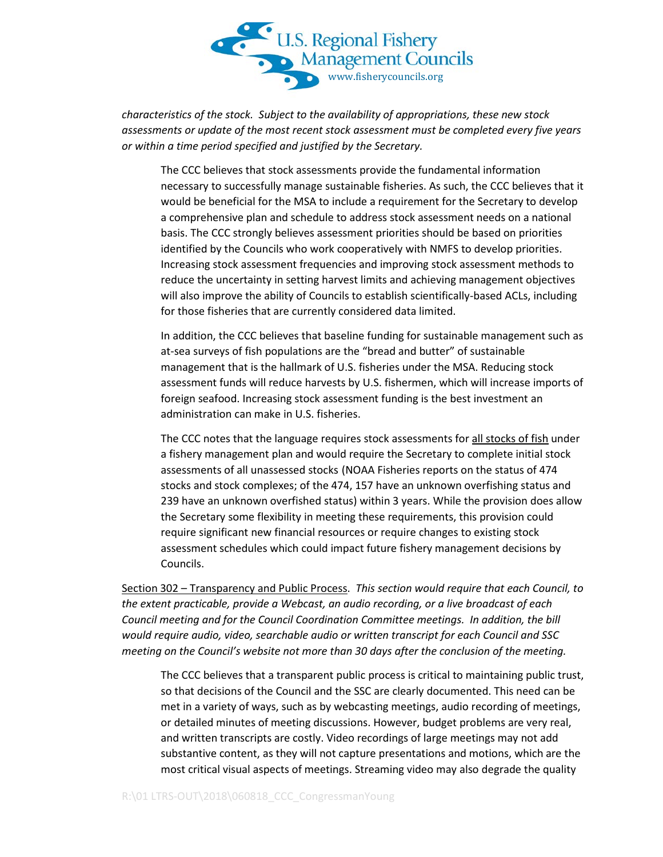

*characteristics of the stock. Subject to the availability of appropriations, these new stock assessments or update of the most recent stock assessment must be completed every five years or within a time period specified and justified by the Secretary.*

The CCC believes that stock assessments provide the fundamental information necessary to successfully manage sustainable fisheries. As such, the CCC believes that it would be beneficial for the MSA to include a requirement for the Secretary to develop a comprehensive plan and schedule to address stock assessment needs on a national basis. The CCC strongly believes assessment priorities should be based on priorities identified by the Councils who work cooperatively with NMFS to develop priorities. Increasing stock assessment frequencies and improving stock assessment methods to reduce the uncertainty in setting harvest limits and achieving management objectives will also improve the ability of Councils to establish scientifically-based ACLs, including for those fisheries that are currently considered data limited.

In addition, the CCC believes that baseline funding for sustainable management such as at-sea surveys of fish populations are the "bread and butter" of sustainable management that is the hallmark of U.S. fisheries under the MSA. Reducing stock assessment funds will reduce harvests by U.S. fishermen, which will increase imports of foreign seafood. Increasing stock assessment funding is the best investment an administration can make in U.S. fisheries.

The CCC notes that the language requires stock assessments for all stocks of fish under a fishery management plan and would require the Secretary to complete initial stock assessments of all unassessed stocks (NOAA Fisheries reports on the status of 474 stocks and stock complexes; of the 474, 157 have an unknown overfishing status and 239 have an unknown overfished status) within 3 years. While the provision does allow the Secretary some flexibility in meeting these requirements, this provision could require significant new financial resources or require changes to existing stock assessment schedules which could impact future fishery management decisions by Councils.

Section 302 – Transparency and Public Process. *This section would require that each Council, to the extent practicable, provide a Webcast, an audio recording, or a live broadcast of each Council meeting and for the Council Coordination Committee meetings. In addition, the bill would require audio, video, searchable audio or written transcript for each Council and SSC meeting on the Council's website not more than 30 days after the conclusion of the meeting.* 

The CCC believes that a transparent public process is critical to maintaining public trust, so that decisions of the Council and the SSC are clearly documented. This need can be met in a variety of ways, such as by webcasting meetings, audio recording of meetings, or detailed minutes of meeting discussions. However, budget problems are very real, and written transcripts are costly. Video recordings of large meetings may not add substantive content, as they will not capture presentations and motions, which are the most critical visual aspects of meetings. Streaming video may also degrade the quality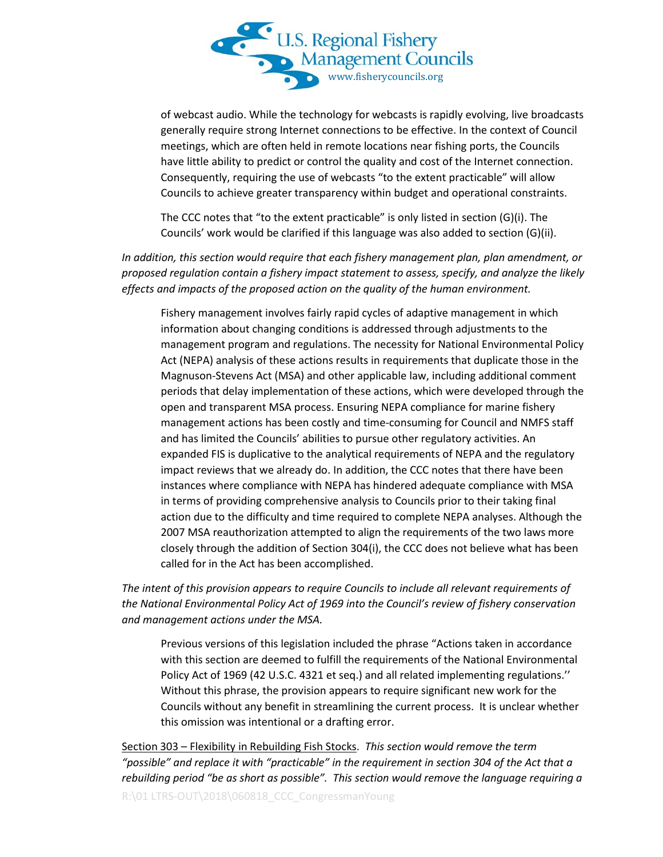

of webcast audio. While the technology for webcasts is rapidly evolving, live broadcasts generally require strong Internet connections to be effective. In the context of Council meetings, which are often held in remote locations near fishing ports, the Councils have little ability to predict or control the quality and cost of the Internet connection. Consequently, requiring the use of webcasts "to the extent practicable" will allow Councils to achieve greater transparency within budget and operational constraints.

The CCC notes that "to the extent practicable" is only listed in section (G)(i). The Councils' work would be clarified if this language was also added to section (G)(ii).

*In addition, this section would require that each fishery management plan, plan amendment, or proposed regulation contain a fishery impact statement to assess, specify, and analyze the likely effects and impacts of the proposed action on the quality of the human environment.* 

Fishery management involves fairly rapid cycles of adaptive management in which information about changing conditions is addressed through adjustments to the management program and regulations. The necessity for National Environmental Policy Act (NEPA) analysis of these actions results in requirements that duplicate those in the Magnuson-Stevens Act (MSA) and other applicable law, including additional comment periods that delay implementation of these actions, which were developed through the open and transparent MSA process. Ensuring NEPA compliance for marine fishery management actions has been costly and time-consuming for Council and NMFS staff and has limited the Councils' abilities to pursue other regulatory activities. An expanded FIS is duplicative to the analytical requirements of NEPA and the regulatory impact reviews that we already do. In addition, the CCC notes that there have been instances where compliance with NEPA has hindered adequate compliance with MSA in terms of providing comprehensive analysis to Councils prior to their taking final action due to the difficulty and time required to complete NEPA analyses. Although the 2007 MSA reauthorization attempted to align the requirements of the two laws more closely through the addition of Section 304(i), the CCC does not believe what has been called for in the Act has been accomplished.

*The intent of this provision appears to require Councils to include all relevant requirements of the National Environmental Policy Act of 1969 into the Council's review of fishery conservation and management actions under the MSA.*

Previous versions of this legislation included the phrase "Actions taken in accordance with this section are deemed to fulfill the requirements of the National Environmental Policy Act of 1969 (42 U.S.C. 4321 et seq.) and all related implementing regulations.'' Without this phrase, the provision appears to require significant new work for the Councils without any benefit in streamlining the current process. It is unclear whether this omission was intentional or a drafting error.

Section 303 – Flexibility in Rebuilding Fish Stocks. *This section would remove the term "possible" and replace it with "practicable" in the requirement in section 304 of the Act that a rebuilding period "be as short as possible". This section would remove the language requiring a*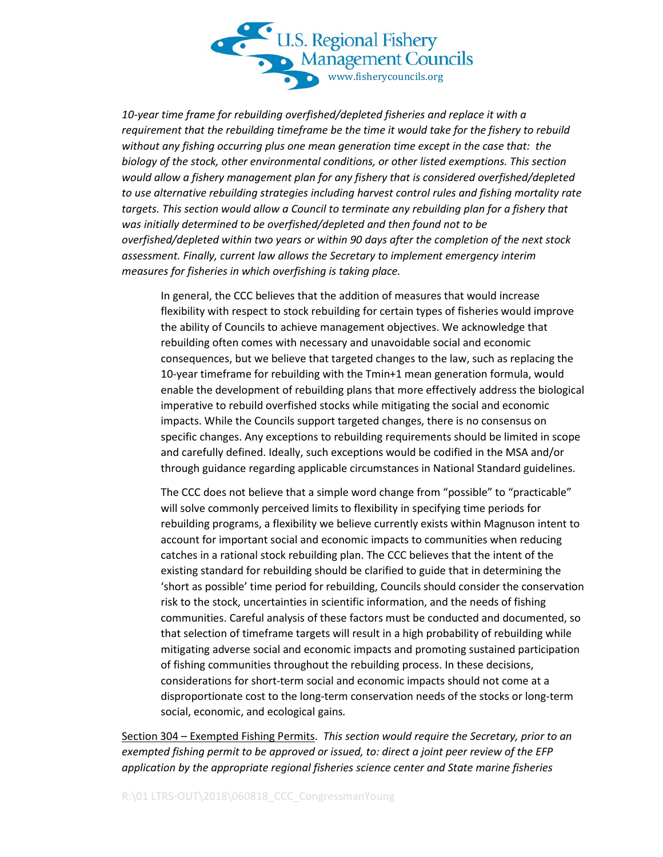

*10-year time frame for rebuilding overfished/depleted fisheries and replace it with a requirement that the rebuilding timeframe be the time it would take for the fishery to rebuild without any fishing occurring plus one mean generation time except in the case that: the biology of the stock, other environmental conditions, or other listed exemptions. This section would allow a fishery management plan for any fishery that is considered overfished/depleted to use alternative rebuilding strategies including harvest control rules and fishing mortality rate targets. This section would allow a Council to terminate any rebuilding plan for a fishery that was initially determined to be overfished/depleted and then found not to be overfished/depleted within two years or within 90 days after the completion of the next stock assessment. Finally, current law allows the Secretary to implement emergency interim measures for fisheries in which overfishing is taking place.*

In general, the CCC believes that the addition of measures that would increase flexibility with respect to stock rebuilding for certain types of fisheries would improve the ability of Councils to achieve management objectives. We acknowledge that rebuilding often comes with necessary and unavoidable social and economic consequences, but we believe that targeted changes to the law, such as replacing the 10-year timeframe for rebuilding with the Tmin+1 mean generation formula, would enable the development of rebuilding plans that more effectively address the biological imperative to rebuild overfished stocks while mitigating the social and economic impacts. While the Councils support targeted changes, there is no consensus on specific changes. Any exceptions to rebuilding requirements should be limited in scope and carefully defined. Ideally, such exceptions would be codified in the MSA and/or through guidance regarding applicable circumstances in National Standard guidelines.

The CCC does not believe that a simple word change from "possible" to "practicable" will solve commonly perceived limits to flexibility in specifying time periods for rebuilding programs, a flexibility we believe currently exists within Magnuson intent to account for important social and economic impacts to communities when reducing catches in a rational stock rebuilding plan. The CCC believes that the intent of the existing standard for rebuilding should be clarified to guide that in determining the 'short as possible' time period for rebuilding, Councils should consider the conservation risk to the stock, uncertainties in scientific information, and the needs of fishing communities. Careful analysis of these factors must be conducted and documented, so that selection of timeframe targets will result in a high probability of rebuilding while mitigating adverse social and economic impacts and promoting sustained participation of fishing communities throughout the rebuilding process. In these decisions, considerations for short-term social and economic impacts should not come at a disproportionate cost to the long-term conservation needs of the stocks or long-term social, economic, and ecological gains*.*

Section 304 – Exempted Fishing Permits. *This section would require the Secretary, prior to an exempted fishing permit to be approved or issued, to: direct a joint peer review of the EFP application by the appropriate regional fisheries science center and State marine fisheries*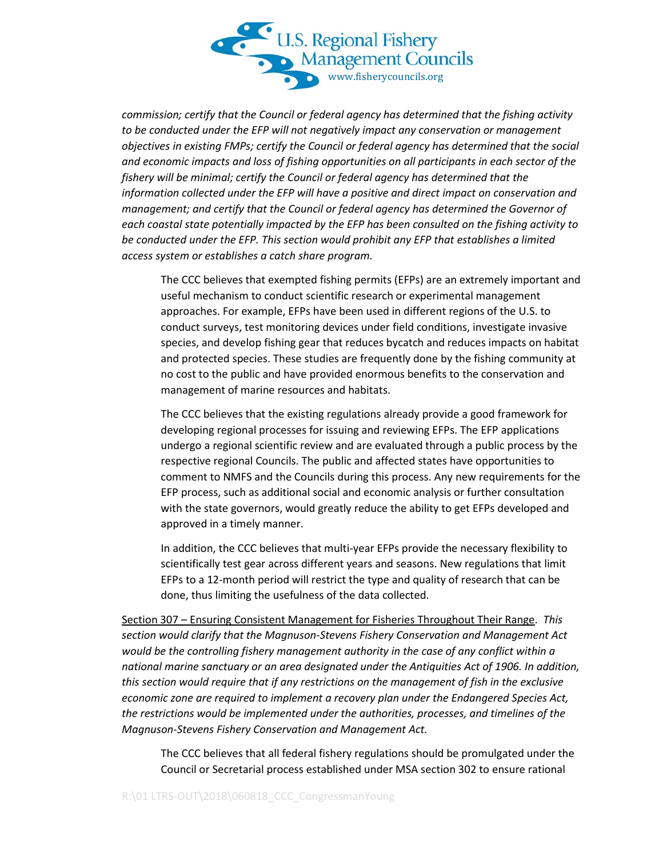

*commission; certify that the Council or federal agency has determined that the fishing activity to be conducted under the EFP will not negatively impact any conservation or management objectives in existing FMPs; certify the Council or federal agency has determined that the social and economic impacts and loss of fishing opportunities on all participants in each sector of the fishery will be minimal; certify the Council or federal agency has determined that the information collected under the EFP will have a positive and direct impact on conservation and management; and certify that the Council or federal agency has determined the Governor of each coastal state potentially impacted by the EFP has been consulted on the fishing activity to be conducted under the EFP. This section would prohibit any EFP that establishes a limited access system or establishes a catch share program.*

The CCC believes that exempted fishing permits (EFPs) are an extremely important and useful mechanism to conduct scientific research or experimental management approaches. For example, EFPs have been used in different regions of the U.S. to conduct surveys, test monitoring devices under field conditions, investigate invasive species, and develop fishing gear that reduces bycatch and reduces impacts on habitat and protected species. These studies are frequently done by the fishing community at no cost to the public and have provided enormous benefits to the conservation and management of marine resources and habitats.

The CCC believes that the existing regulations already provide a good framework for developing regional processes for issuing and reviewing EFPs. The EFP applications undergo a regional scientific review and are evaluated through a public process by the respective regional Councils. The public and affected states have opportunities to comment to NMFS and the Councils during this process. Any new requirements for the EFP process, such as additional social and economic analysis or further consultation with the state governors, would greatly reduce the ability to get EFPs developed and approved in a timely manner.

In addition, the CCC believes that multi-year EFPs provide the necessary flexibility to scientifically test gear across different years and seasons. New regulations that limit EFPs to a 12-month period will restrict the type and quality of research that can be done, thus limiting the usefulness of the data collected.

Section 307 – Ensuring Consistent Management for Fisheries Throughout Their Range. *This section would clarify that the Magnuson-Stevens Fishery Conservation and Management Act would be the controlling fishery management authority in the case of any conflict within a national marine sanctuary or an area designated under the Antiquities Act of 1906. In addition, this section would require that if any restrictions on the management of fish in the exclusive economic zone are required to implement a recovery plan under the Endangered Species Act, the restrictions would be implemented under the authorities, processes, and timelines of the Magnuson-Stevens Fishery Conservation and Management Act.*

The CCC believes that all federal fishery regulations should be promulgated under the Council or Secretarial process established under MSA section 302 to ensure rational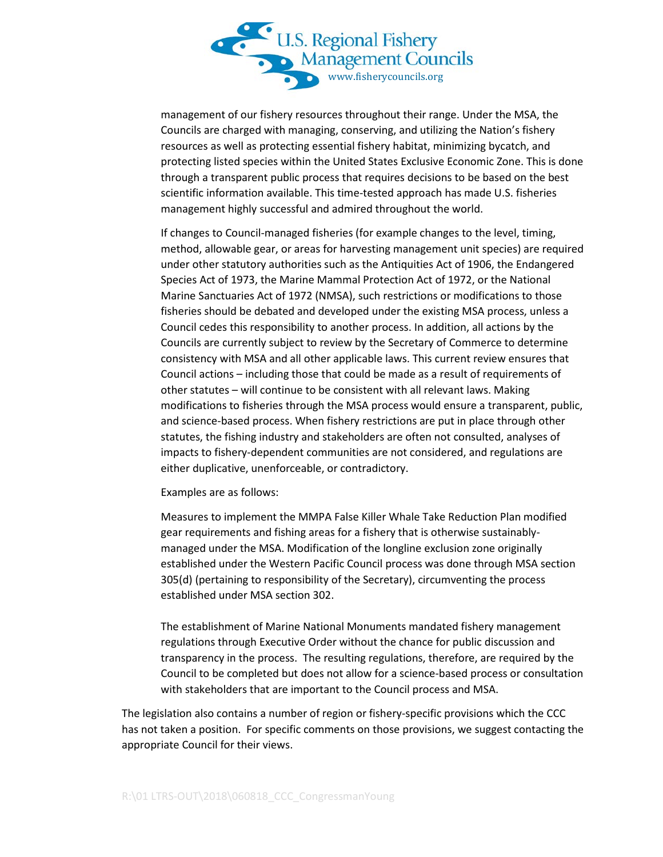

management of our fishery resources throughout their range. Under the MSA, the Councils are charged with managing, conserving, and utilizing the Nation's fishery resources as well as protecting essential fishery habitat, minimizing bycatch, and protecting listed species within the United States Exclusive Economic Zone. This is done through a transparent public process that requires decisions to be based on the best scientific information available. This time-tested approach has made U.S. fisheries management highly successful and admired throughout the world.

If changes to Council-managed fisheries (for example changes to the level, timing, method, allowable gear, or areas for harvesting management unit species) are required under other statutory authorities such as the Antiquities Act of 1906, the Endangered Species Act of 1973, the Marine Mammal Protection Act of 1972, or the National Marine Sanctuaries Act of 1972 (NMSA), such restrictions or modifications to those fisheries should be debated and developed under the existing MSA process, unless a Council cedes this responsibility to another process. In addition, all actions by the Councils are currently subject to review by the Secretary of Commerce to determine consistency with MSA and all other applicable laws. This current review ensures that Council actions – including those that could be made as a result of requirements of other statutes – will continue to be consistent with all relevant laws. Making modifications to fisheries through the MSA process would ensure a transparent, public, and science-based process. When fishery restrictions are put in place through other statutes, the fishing industry and stakeholders are often not consulted, analyses of impacts to fishery-dependent communities are not considered, and regulations are either duplicative, unenforceable, or contradictory.

Examples are as follows:

Measures to implement the MMPA False Killer Whale Take Reduction Plan modified gear requirements and fishing areas for a fishery that is otherwise sustainablymanaged under the MSA. Modification of the longline exclusion zone originally established under the Western Pacific Council process was done through MSA section 305(d) (pertaining to responsibility of the Secretary), circumventing the process established under MSA section 302.

The establishment of Marine National Monuments mandated fishery management regulations through Executive Order without the chance for public discussion and transparency in the process. The resulting regulations, therefore, are required by the Council to be completed but does not allow for a science-based process or consultation with stakeholders that are important to the Council process and MSA.

The legislation also contains a number of region or fishery-specific provisions which the CCC has not taken a position. For specific comments on those provisions, we suggest contacting the appropriate Council for their views.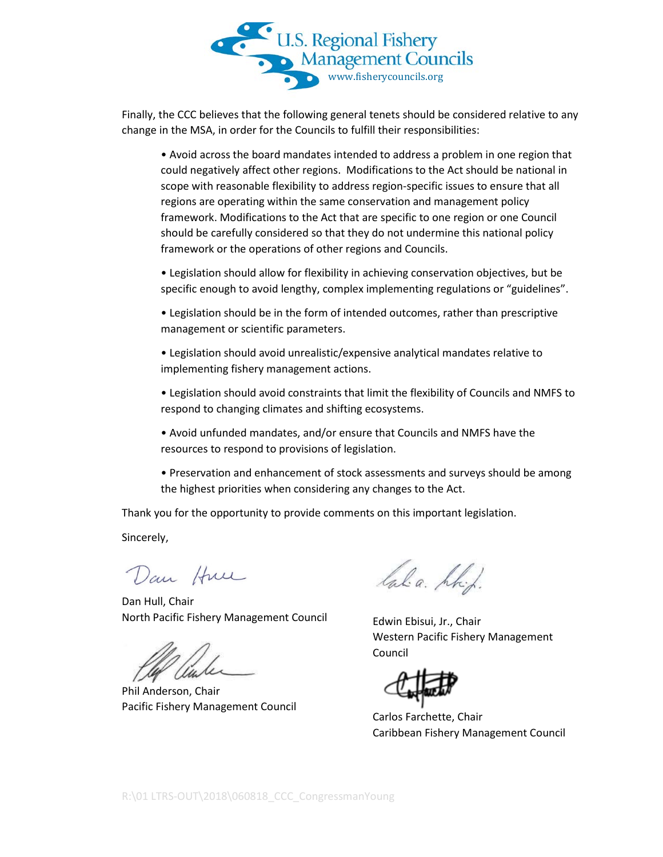

Finally, the CCC believes that the following general tenets should be considered relative to any change in the MSA, in order for the Councils to fulfill their responsibilities:

• Avoid across the board mandates intended to address a problem in one region that could negatively affect other regions. Modifications to the Act should be national in scope with reasonable flexibility to address region-specific issues to ensure that all regions are operating within the same conservation and management policy framework. Modifications to the Act that are specific to one region or one Council should be carefully considered so that they do not undermine this national policy framework or the operations of other regions and Councils.

• Legislation should allow for flexibility in achieving conservation objectives, but be specific enough to avoid lengthy, complex implementing regulations or "guidelines".

• Legislation should be in the form of intended outcomes, rather than prescriptive management or scientific parameters.

• Legislation should avoid unrealistic/expensive analytical mandates relative to implementing fishery management actions.

• Legislation should avoid constraints that limit the flexibility of Councils and NMFS to respond to changing climates and shifting ecosystems.

• Avoid unfunded mandates, and/or ensure that Councils and NMFS have the resources to respond to provisions of legislation.

• Preservation and enhancement of stock assessments and surveys should be among the highest priorities when considering any changes to the Act.

Thank you for the opportunity to provide comments on this important legislation.

Sincerely,

Dan Hul

Dan Hull, Chair North Pacific Fishery Management Council

Phil Anderson, Chair Pacific Fishery Management Council

laba. hhid.

Edwin Ebisui, Jr., Chair Western Pacific Fishery Management Council

Carlos Farchette, Chair Caribbean Fishery Management Council